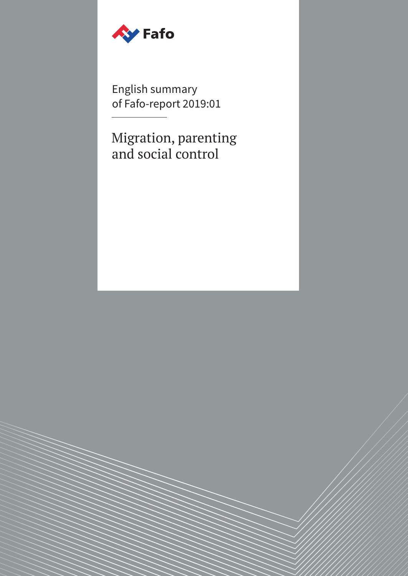

English summary of Fafo-report 2019:01

Migration, parenting and social control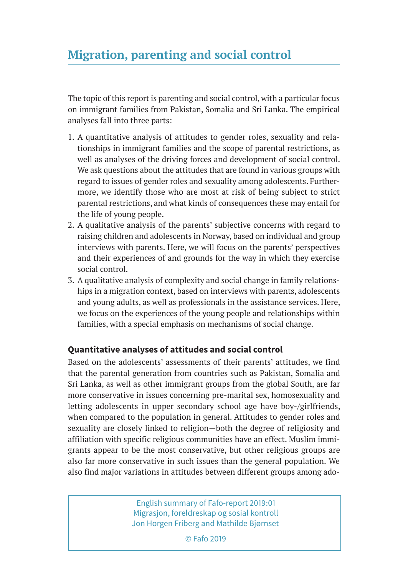The topic of this report is parenting and social control, with a particular focus on immigrant families from Pakistan, Somalia and Sri Lanka. The empirical analyses fall into three parts:

- 1. A quantitative analysis of attitudes to gender roles, sexuality and relationships in immigrant families and the scope of parental restrictions, as well as analyses of the driving forces and development of social control. We ask questions about the attitudes that are found in various groups with regard to issues of gender roles and sexuality among adolescents. Furthermore, we identify those who are most at risk of being subject to strict parental restrictions, and what kinds of consequences these may entail for the life of young people.
- 2. A qualitative analysis of the parents' subjective concerns with regard to raising children and adolescents in Norway, based on individual and group interviews with parents. Here, we will focus on the parents' perspectives and their experiences of and grounds for the way in which they exercise social control.
- 3. A qualitative analysis of complexity and social change in family relationships in a migration context, based on interviews with parents, adolescents and young adults, as well as professionals in the assistance services. Here, we focus on the experiences of the young people and relationships within families, with a special emphasis on mechanisms of social change.

## **Quantitative analyses of attitudes and social control**

Based on the adolescents' assessments of their parents' attitudes, we find that the parental generation from countries such as Pakistan, Somalia and Sri Lanka, as well as other immigrant groups from the global South, are far more conservative in issues concerning pre-marital sex, homosexuality and letting adolescents in upper secondary school age have boy-/girlfriends, when compared to the population in general. Attitudes to gender roles and sexuality are closely linked to religion—both the degree of religiosity and affiliation with specific religious communities have an effect. Muslim immigrants appear to be the most conservative, but other religious groups are also far more conservative in such issues than the general population. We also find major variations in attitudes between different groups among ado-

> English summary of Fafo-report 2019:01 Migrasjon, foreldreskap og sosial kontroll Jon Horgen Friberg and Mathilde Bjørnset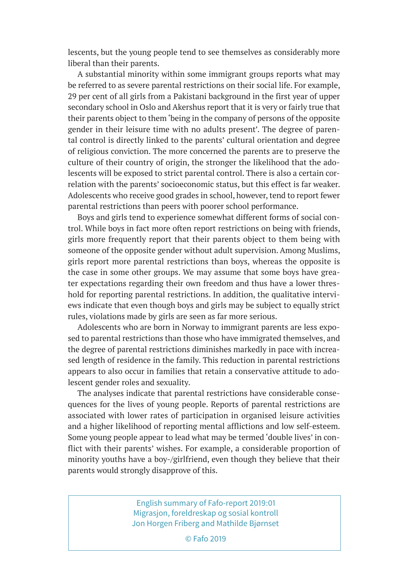lescents, but the young people tend to see themselves as considerably more liberal than their parents.

A substantial minority within some immigrant groups reports what may be referred to as severe parental restrictions on their social life. For example, 29 per cent of all girls from a Pakistani background in the first year of upper secondary school in Oslo and Akershus report that it is very or fairly true that their parents object to them 'being in the company of persons of the opposite gender in their leisure time with no adults present'. The degree of parental control is directly linked to the parents' cultural orientation and degree of religious conviction. The more concerned the parents are to preserve the culture of their country of origin, the stronger the likelihood that the adolescents will be exposed to strict parental control. There is also a certain correlation with the parents' socioeconomic status, but this effect is far weaker. Adolescents who receive good grades in school, however, tend to report fewer parental restrictions than peers with poorer school performance.

Boys and girls tend to experience somewhat different forms of social control. While boys in fact more often report restrictions on being with friends, girls more frequently report that their parents object to them being with someone of the opposite gender without adult supervision. Among Muslims, girls report more parental restrictions than boys, whereas the opposite is the case in some other groups. We may assume that some boys have greater expectations regarding their own freedom and thus have a lower threshold for reporting parental restrictions. In addition, the qualitative interviews indicate that even though boys and girls may be subject to equally strict rules, violations made by girls are seen as far more serious.

Adolescents who are born in Norway to immigrant parents are less exposed to parental restrictions than those who have immigrated themselves, and the degree of parental restrictions diminishes markedly in pace with increased length of residence in the family. This reduction in parental restrictions appears to also occur in families that retain a conservative attitude to adolescent gender roles and sexuality.

The analyses indicate that parental restrictions have considerable consequences for the lives of young people. Reports of parental restrictions are associated with lower rates of participation in organised leisure activities and a higher likelihood of reporting mental afflictions and low self-esteem. Some young people appear to lead what may be termed 'double lives' in conflict with their parents' wishes. For example, a considerable proportion of minority youths have a boy-/girlfriend, even though they believe that their parents would strongly disapprove of this.

> English summary of Fafo-report 2019:01 Migrasjon, foreldreskap og sosial kontroll Jon Horgen Friberg and Mathilde Bjørnset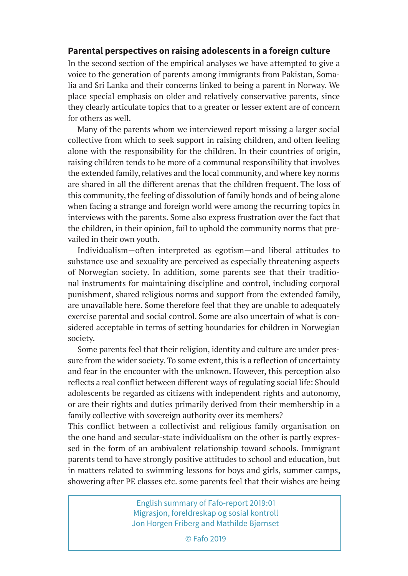## **Parental perspectives on raising adolescents in a foreign culture**

In the second section of the empirical analyses we have attempted to give a voice to the generation of parents among immigrants from Pakistan, Somalia and Sri Lanka and their concerns linked to being a parent in Norway. We place special emphasis on older and relatively conservative parents, since they clearly articulate topics that to a greater or lesser extent are of concern for others as well.

Many of the parents whom we interviewed report missing a larger social collective from which to seek support in raising children, and often feeling alone with the responsibility for the children. In their countries of origin, raising children tends to be more of a communal responsibility that involves the extended family, relatives and the local community, and where key norms are shared in all the different arenas that the children frequent. The loss of this community, the feeling of dissolution of family bonds and of being alone when facing a strange and foreign world were among the recurring topics in interviews with the parents. Some also express frustration over the fact that the children, in their opinion, fail to uphold the community norms that prevailed in their own youth.

Individualism—often interpreted as egotism—and liberal attitudes to substance use and sexuality are perceived as especially threatening aspects of Norwegian society. In addition, some parents see that their traditional instruments for maintaining discipline and control, including corporal punishment, shared religious norms and support from the extended family, are unavailable here. Some therefore feel that they are unable to adequately exercise parental and social control. Some are also uncertain of what is considered acceptable in terms of setting boundaries for children in Norwegian society.

Some parents feel that their religion, identity and culture are under pressure from the wider society. To some extent, this is a reflection of uncertainty and fear in the encounter with the unknown. However, this perception also reflects a real conflict between different ways of regulating social life: Should adolescents be regarded as citizens with independent rights and autonomy, or are their rights and duties primarily derived from their membership in a family collective with sovereign authority over its members?

This conflict between a collectivist and religious family organisation on the one hand and secular-state individualism on the other is partly expressed in the form of an ambivalent relationship toward schools. Immigrant parents tend to have strongly positive attitudes to school and education, but in matters related to swimming lessons for boys and girls, summer camps, showering after PE classes etc. some parents feel that their wishes are being

> English summary of Fafo-report 2019:01 Migrasjon, foreldreskap og sosial kontroll Jon Horgen Friberg and Mathilde Bjørnset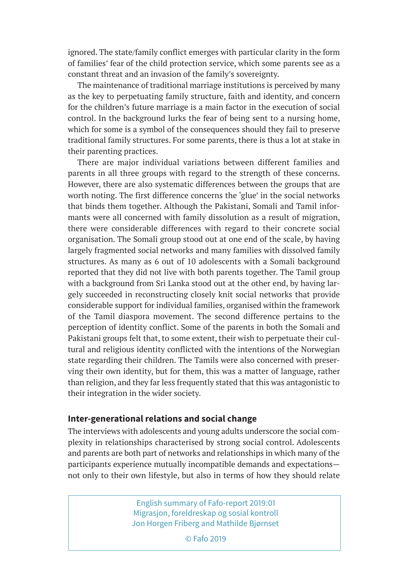ignored. The state/family conflict emerges with particular clarity in the form of families' fear of the child protection service, which some parents see as a constant threat and an invasion of the family's sovereignty.

The maintenance of traditional marriage institutions is perceived by many as the key to perpetuating family structure, faith and identity, and concern for the children's future marriage is a main factor in the execution of social control. In the background lurks the fear of being sent to a nursing home, which for some is a symbol of the consequences should they fail to preserve traditional family structures. For some parents, there is thus a lot at stake in their parenting practices.

There are major individual variations between different families and parents in all three groups with regard to the strength of these concerns. However, there are also systematic differences between the groups that are worth noting. The first difference concerns the 'glue' in the social networks that binds them together. Although the Pakistani, Somali and Tamil informants were all concerned with family dissolution as a result of migration, there were considerable differences with regard to their concrete social organisation. The Somali group stood out at one end of the scale, by having largely fragmented social networks and many families with dissolved family structures. As many as 6 out of 10 adolescents with a Somali background reported that they did not live with both parents together. The Tamil group with a background from Sri Lanka stood out at the other end, by having largely succeeded in reconstructing closely knit social networks that provide considerable support for individual families, organised within the framework of the Tamil diaspora movement. The second difference pertains to the perception of identity conflict. Some of the parents in both the Somali and Pakistani groups felt that, to some extent, their wish to perpetuate their cultural and religious identity conflicted with the intentions of the Norwegian state regarding their children. The Tamils were also concerned with preserving their own identity, but for them, this was a matter of language, rather than religion, and they far less frequently stated that this was antagonistic to their integration in the wider society.

## **Inter-generational relations and social change**

The interviews with adolescents and young adults underscore the social complexity in relationships characterised by strong social control. Adolescents and parents are both part of networks and relationships in which many of the participants experience mutually incompatible demands and expectations not only to their own lifestyle, but also in terms of how they should relate

> English summary of Fafo-report 2019:01 Migrasjon, foreldreskap og sosial kontroll Jon Horgen Friberg and Mathilde Bjørnset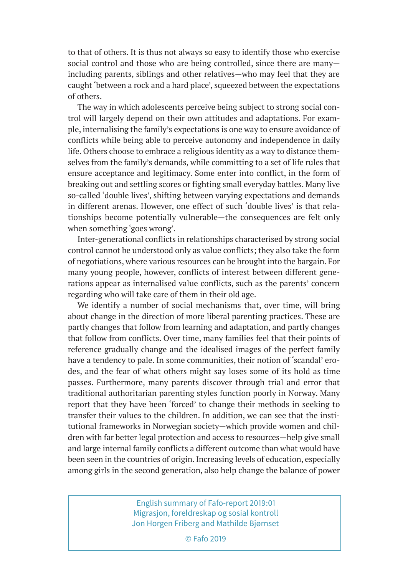to that of others. It is thus not always so easy to identify those who exercise social control and those who are being controlled, since there are many including parents, siblings and other relatives—who may feel that they are caught 'between a rock and a hard place', squeezed between the expectations of others.

The way in which adolescents perceive being subject to strong social control will largely depend on their own attitudes and adaptations. For example, internalising the family's expectations is one way to ensure avoidance of conflicts while being able to perceive autonomy and independence in daily life. Others choose to embrace a religious identity as a way to distance themselves from the family's demands, while committing to a set of life rules that ensure acceptance and legitimacy. Some enter into conflict, in the form of breaking out and settling scores or fighting small everyday battles. Many live so-called 'double lives', shifting between varying expectations and demands in different arenas. However, one effect of such 'double lives' is that relationships become potentially vulnerable—the consequences are felt only when something 'goes wrong'.

Inter-generational conflicts in relationships characterised by strong social control cannot be understood only as value conflicts; they also take the form of negotiations, where various resources can be brought into the bargain. For many young people, however, conflicts of interest between different generations appear as internalised value conflicts, such as the parents' concern regarding who will take care of them in their old age.

We identify a number of social mechanisms that, over time, will bring about change in the direction of more liberal parenting practices. These are partly changes that follow from learning and adaptation, and partly changes that follow from conflicts. Over time, many families feel that their points of reference gradually change and the idealised images of the perfect family have a tendency to pale. In some communities, their notion of 'scandal' erodes, and the fear of what others might say loses some of its hold as time passes. Furthermore, many parents discover through trial and error that traditional authoritarian parenting styles function poorly in Norway. Many report that they have been 'forced' to change their methods in seeking to transfer their values to the children. In addition, we can see that the institutional frameworks in Norwegian society—which provide women and children with far better legal protection and access to resources—help give small and large internal family conflicts a different outcome than what would have been seen in the countries of origin. Increasing levels of education, especially among girls in the second generation, also help change the balance of power

> English summary of Fafo-report 2019:01 Migrasjon, foreldreskap og sosial kontroll Jon Horgen Friberg and Mathilde Bjørnset